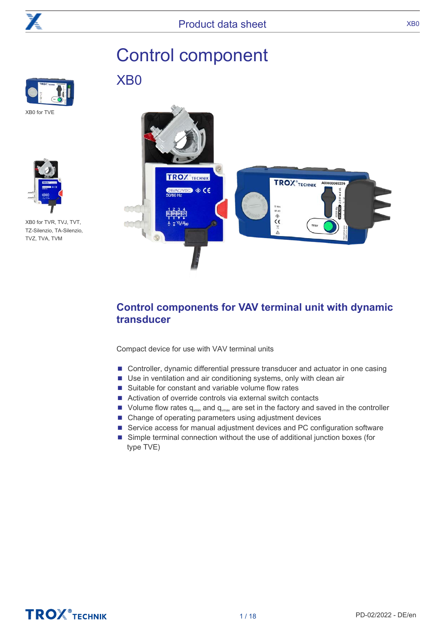

# Control component

XB0





XB0 for TVR, TVJ, TVT, TZ-Silenzio, TA-Silenzio, TVZ, TVA, TVM



# **Control components for VAV terminal unit with dynamic transducer**

Compact device for use with VAV terminal units

- Controller, dynamic differential pressure transducer and actuator in one casing
- Use in ventilation and air conditioning systems, only with clean air
- Suitable for constant and variable volume flow rates
- Activation of override controls via external switch contacts
- Volume flow rates  $q_{\text{win}}$  and  $q_{\text{win}}$  are set in the factory and saved in the controller
- Change of operating parameters using adjustment devices
- Service access for manual adjustment devices and PC configuration software
- Simple terminal connection without the use of additional junction boxes (for type TVE)

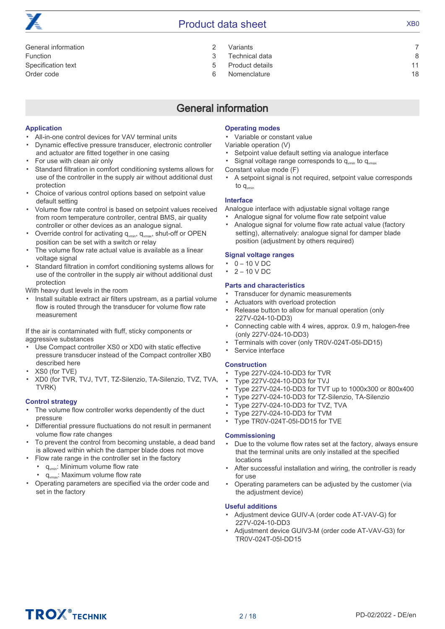# Product data sheet XB0

| General information |   |
|---------------------|---|
| Function            |   |
| Specification text  | 5 |
| Order code          | ൳ |

| Variants       |  |
|----------------|--|
| Technical data |  |

- [Product details 11](#page-10-0)
- [Nomenclature 18](#page-17-0)

# General information

#### <span id="page-1-0"></span>**Application**

- All-in-one control devices for VAV terminal units
- Dynamic effective pressure transducer, electronic controller and actuator are fitted together in one casing
- For use with clean air only
- Standard filtration in comfort conditioning systems allows for use of the controller in the supply air without additional dust protection
- Choice of various control options based on setpoint value default setting
- Volume flow rate control is based on setpoint values received from room temperature controller, central BMS, air quality controller or other devices as an analogue signal.
- Override control for activating  $q_{\text{win}}$ ,  $q_{\text{win}}$ , shut-off or OPEN position can be set with a switch or relay
- The volume flow rate actual value is available as a linear voltage signal
- Standard filtration in comfort conditioning systems allows for use of the controller in the supply air without additional dust protection

With heavy dust levels in the room

▪ Install suitable extract air filters upstream, as a partial volume flow is routed through the transducer for volume flow rate measurement

If the air is contaminated with fluff, sticky components or aggressive substances

- Use Compact controller XS0 or XD0 with static effective pressure transducer instead of the Compact controller XB0 described here
- XS0 (for TVE)
- XD0 (for TVR, TVJ, TVT, TZ-Silenzio, TA-Silenzio, TVZ, TVA, TVRK)

#### **Control strategy**

- The volume flow controller works dependently of the duct pressure
- Differential pressure fluctuations do not result in permanent volume flow rate changes
- To prevent the control from becoming unstable, a dead band is allowed within which the damper blade does not move
- Flow rate range in the controller set in the factory
- $q_{vmin}$ : Minimum volume flow rate
	- $q_{\text{max}}$ : Maximum volume flow rate
- Operating parameters are specified via the order code and set in the factory

#### **Operating modes**

▪ Variable or constant value

Variable operation (V)

- Setpoint value default setting via analogue interface
- Signal voltage range corresponds to  $q_{\text{min}}$  to  $q_{\text{max}}$
- Constant value mode (F)
- A setpoint signal is not required, setpoint value corresponds to  $q_{\text{vmin}}$

#### **Interface**

Analogue interface with adjustable signal voltage range

- Analogue signal for volume flow rate setpoint value ▪ Analogue signal for volume flow rate actual value (factory
- setting), alternatively: analogue signal for damper blade position (adjustment by others required)

#### **Signal voltage ranges**

- 0 – 10 V DC
- $2 - 10 V$  DC

#### **Parts and characteristics**

- Transducer for dynamic measurements
- Actuators with overload protection
- Release button to allow for manual operation (only 227V-024-10-DD3)
- Connecting cable with 4 wires, approx. 0.9 m, halogen-free (only 227V-024-10-DD3)
- Terminals with cover (only TR0V-024T-05I-DD15)
- Service interface

#### **Construction**

- Type 227V-024-10-DD3 for TVR
- Type 227V-024-10-DD3 for TVJ
- Type 227V-024-10-DD3 for TVT up to 1000x300 or 800x400
- Type 227V-024-10-DD3 for TZ-Silenzio, TA-Silenzio
- Type 227V-024-10-DD3 for TVZ, TVA
- Type 227V-024-10-DD3 for TVM
- Type TR0V-024T-05I-DD15 for TVE

#### **Commissioning**

- Due to the volume flow rates set at the factory, always ensure that the terminal units are only installed at the specified locations
- After successful installation and wiring, the controller is ready for use
- Operating parameters can be adjusted by the customer (via the adjustment device)

#### **Useful additions**

- Adjustment device GUIV-A (order code AT-VAV-G) for 227V-024-10-DD3
- Adjustment device GUIV3-M (order code AT-VAV-G3) for TR0V-024T-05I-DD15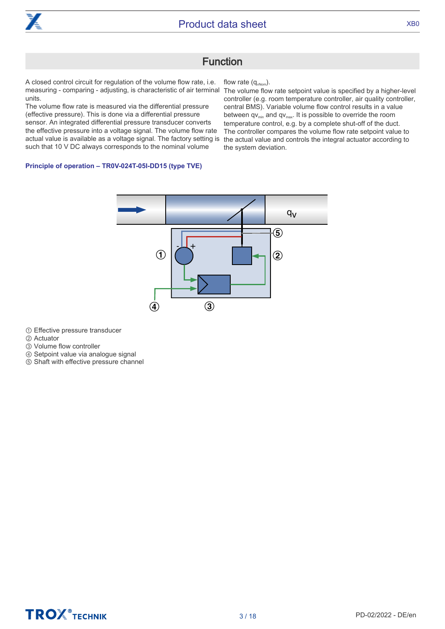

### Function

<span id="page-2-0"></span>A closed control circuit for regulation of the volume flow rate, i.e. measuring - comparing - adjusting, is characteristic of air terminal units.

The volume flow rate is measured via the differential pressure (effective pressure). This is done via a differential pressure sensor. An integrated differential pressure transducer converts the effective pressure into a voltage signal. The volume flow rate actual value is available as a voltage signal. The factory setting is the actual value and controls the integral actuator according to such that 10 V DC always corresponds to the nominal volume

flow rate  $(q_{v\text{Nom}})$ .

The volume flow rate setpoint value is specified by a higher-level controller (e.g. room temperature controller, air quality controller, central BMS). Variable volume flow control results in a value between  $qv_{min}$  and  $qv_{max}$ . It is possible to override the room temperature control, e.g. by a complete shut-off of the duct. The controller compares the volume flow rate setpoint value to the system deviation.

#### **Principle of operation – TR0V-024T-05I-DD15 (type TVE)**



① Effective pressure transducer

② Actuator

③ Volume flow controller

④ Setpoint value via analogue signal

⑤ Shaft with effective pressure channel

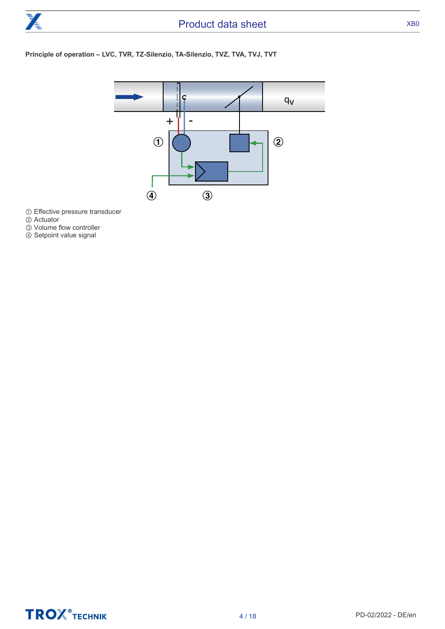

#### **Principle of operation – LVC, TVR, TZ-Silenzio, TA-Silenzio, TVZ, TVA, TVJ, TVT**



① Effective pressure transducer

- ② Actuator
- ③ Volume flow controller
- ④ Setpoint value signal

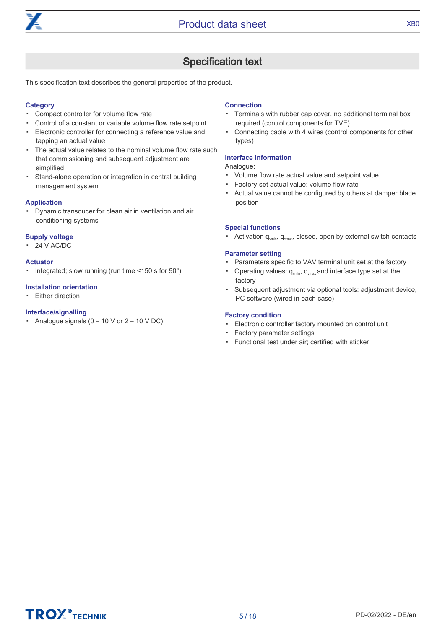

# Specification text

<span id="page-4-0"></span>This specification text describes the general properties of the product.

#### **Category**

- Compact controller for volume flow rate
- Control of a constant or variable volume flow rate setpoint
- Electronic controller for connecting a reference value and tapping an actual value
- The actual value relates to the nominal volume flow rate such that commissioning and subsequent adjustment are simplified
- Stand-alone operation or integration in central building management system

#### **Application**

▪ Dynamic transducer for clean air in ventilation and air conditioning systems

#### **Supply voltage**

▪ 24 V AC/DC

#### **Actuator**

▪ Integrated; slow running (run time <150 s for 90°)

#### **Installation orientation**

• Either direction

#### **Interface/signalling**

**•** Analogue signals  $(0 - 10 \text{ V or } 2 - 10 \text{ V DC})$ 

#### **Connection**

- Terminals with rubber cap cover, no additional terminal box required (control components for TVE)
- Connecting cable with 4 wires (control components for other types)

#### **Interface information**

#### Analogue:

- Volume flow rate actual value and setpoint value
- Factory-set actual value: volume flow rate
- Actual value cannot be configured by others at damper blade position

#### **Special functions**

**•** Activation  $q_{\text{vmin}}$ ,  $q_{\text{vmax}}$ , closed, open by external switch contacts

#### **Parameter setting**

- Parameters specific to VAV terminal unit set at the factory
- **•** Operating values:  $q_{\text{win}}$ ,  $q_{\text{win}}$  and interface type set at the factory
- Subsequent adjustment via optional tools: adjustment device, PC software (wired in each case)

#### **Factory condition**

- Electronic controller factory mounted on control unit
- Factory parameter settings
- Functional test under air; certified with sticker

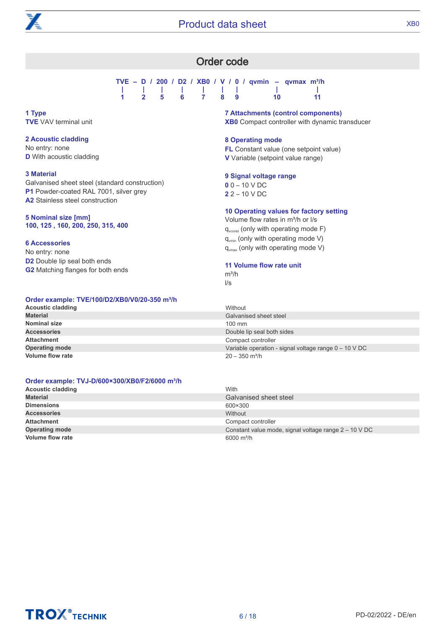<span id="page-5-0"></span>

### Order code

**TVE – D / 200 / D2 / XB0 / V / 0 / qvmin – qvmax m³/h | | | | | | | | | 1 2 5 6 7 8 9 10 11**

**1 Type TVE** VAV terminal unit

#### **2 Acoustic cladding**

No entry: none **D** With acoustic cladding

#### **3 Material**

Galvanised sheet steel (standard construction) **P1** Powder-coated RAL 7001, silver grey **A2** Stainless steel construction

#### **5 Nominal size [mm] 100, 125 , 160, 200, 250, 315, 400**

#### **6 Accessories**

No entry: none **D2** Double lip seal both ends **G2** Matching flanges for both ends

### **Order example: TVE/100/D2/XB0/V0/20-350 m³/h**

# **7 Attachments (control components) XB0** Compact controller with dynamic transducer

#### **8 Operating mode**

**FL** Constant value (one setpoint value) **V** Variable (setpoint value range)

#### **9 Signal voltage range**

**0** 0 – 10 V DC **2** 2 – 10 V DC

#### **10 Operating values for factory setting**

Volume flow rates in m<sup>3</sup>/h or I/s  $q_{\text{vconst}}$  (only with operating mode F)  $q_{\text{win}}$  (only with operating mode V)  $q_{vmax}$  (only with operating mode V)

#### **11 Volume flow rate unit**

 $m^3/h$ l/s

| <u>Uradi Uranipiui Tymi Iudibaindu Tuliu Uud III III</u> |                                                        |
|----------------------------------------------------------|--------------------------------------------------------|
| <b>Acoustic cladding</b>                                 | Without                                                |
| <b>Material</b>                                          | Galvanised sheet steel                                 |
| <b>Nominal size</b>                                      | $100 \text{ mm}$                                       |
| <b>Accessories</b>                                       | Double lip seal both sides                             |
| Attachment                                               | Compact controller                                     |
| <b>Operating mode</b>                                    | Variable operation - signal voltage range $0 - 10 VDC$ |
| <b>Volume flow rate</b>                                  | $20 - 350$ m <sup>3</sup> /h                           |
|                                                          |                                                        |

#### **Order example: TVJ-D/600×300/XB0/F2/6000 m³/h**

| <b>Acoustic cladding</b> | With                                                  |  |
|--------------------------|-------------------------------------------------------|--|
| <b>Material</b>          | Galvanised sheet steel                                |  |
| <b>Dimensions</b>        | 600×300                                               |  |
| <b>Accessories</b>       | Without                                               |  |
| <b>Attachment</b>        | Compact controller                                    |  |
| <b>Operating mode</b>    | Constant value mode, signal voltage range 2 – 10 V DC |  |
| <b>Volume flow rate</b>  | 6000 $m^3/h$                                          |  |

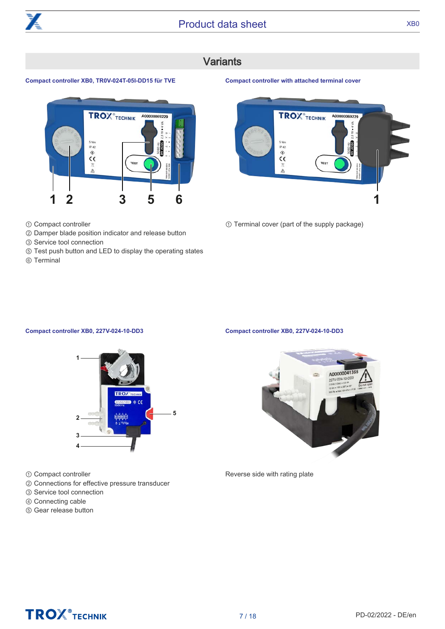

# **Variants**

#### <span id="page-6-0"></span>**Compact controller XB0, TR0V-024T-05I-DD15 für TVE**



- ① Compact controller
- ② Damper blade position indicator and release button
- ③ Service tool connection
- ⑤ Test push button and LED to display the operating states
- ⑥ Terminal



① Terminal cover (part of the supply package)

**Compact controller with attached terminal cover**

#### **Compact controller XB0, 227V-024-10-DD3**



- ① Compact controller
- ② Connections for effective pressure transducer
- ③ Service tool connection
- ④ Connecting cable
- ⑤ Gear release button

#### **Compact controller XB0, 227V-024-10-DD3**



Reverse side with rating plate

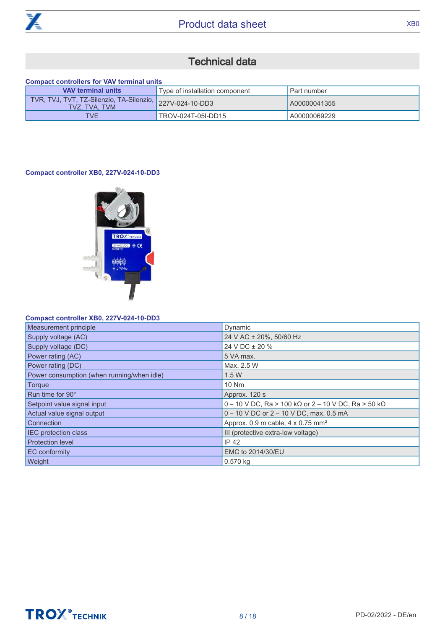

# Technical data

#### <span id="page-7-0"></span>**Compact controllers for VAV terminal units**

| <b>VAV terminal units</b>                                                 | Type of installation component | Part number  |
|---------------------------------------------------------------------------|--------------------------------|--------------|
| TVR, TVJ, TVT, TZ-Silenzio, TA-Silenzio, 227V-024-10-DD3<br>TVZ. TVA. TVM |                                | A00000041355 |
| <b>TVE</b>                                                                | TROV-024T-05I-DD15             | A00000069229 |

#### **Compact controller XB0, 227V-024-10-DD3**



#### **Compact controller XB0, 227V-024-10-DD3**

| Measurement principle                      | Dynamic                                                             |
|--------------------------------------------|---------------------------------------------------------------------|
| Supply voltage (AC)                        | 24 V AC ± 20%, 50/60 Hz                                             |
| Supply voltage (DC)                        | 24 V DC ± 20 %                                                      |
| Power rating (AC)                          | 5 VA max.                                                           |
| Power rating (DC)                          | Max. 2.5 W                                                          |
| Power consumption (when running/when idle) | 1.5W                                                                |
| <b>Torque</b>                              | 10 Nm                                                               |
| Run time for 90°                           | Approx. 120 s                                                       |
| Setpoint value signal input                | 0 - 10 V DC, Ra > 100 k $\Omega$ or 2 - 10 V DC, Ra > 50 k $\Omega$ |
| Actual value signal output                 | 0 - 10 V DC or 2 - 10 V DC, max. 0.5 mA                             |
| Connection                                 | Approx. $0.9$ m cable, $4 \times 0.75$ mm <sup>2</sup>              |
| <b>IEC</b> protection class                | III (protective extra-low voltage)                                  |
| <b>Protection level</b>                    | <b>IP 42</b>                                                        |
| EC conformity                              | EMC to 2014/30/EU                                                   |
| Weight                                     | 0.570 kg                                                            |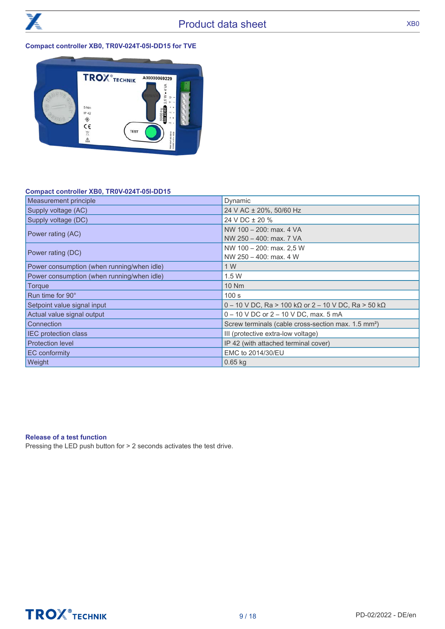

#### **Compact controller XB0, TR0V-024T-05I-DD15 for TVE**



#### **Compact controller XB0, TR0V-024T-05I-DD15**

| Measurement principle                                                   | Dynamic                                                             |  |
|-------------------------------------------------------------------------|---------------------------------------------------------------------|--|
| Supply voltage (AC)                                                     | 24 V AC ± 20%, 50/60 Hz                                             |  |
| Supply voltage (DC)                                                     | 24 V DC ± 20 %                                                      |  |
| NW 100 - 200: max. 4 VA<br>Power rating (AC)<br>NW 250 - 400: max. 7 VA |                                                                     |  |
| Power rating (DC)                                                       | NW 100 - 200: max. 2.5 W<br>NW 250 - 400: max. 4 W                  |  |
| Power consumption (when running/when idle)                              | 1 W                                                                 |  |
| Power consumption (when running/when idle)                              | 1.5W                                                                |  |
| Torque                                                                  | 10 Nm                                                               |  |
| Run time for 90°                                                        | 100 s                                                               |  |
| Setpoint value signal input                                             | 0 - 10 V DC, Ra > 100 k $\Omega$ or 2 - 10 V DC, Ra > 50 k $\Omega$ |  |
| Actual value signal output                                              | $0 - 10$ V DC or $2 - 10$ V DC, max. 5 mA                           |  |
| <b>Connection</b>                                                       | Screw terminals (cable cross-section max. 1.5 mm <sup>2</sup> )     |  |
| <b>IEC</b> protection class                                             | III (protective extra-low voltage)                                  |  |
| <b>Protection level</b>                                                 | IP 42 (with attached terminal cover)                                |  |
| <b>EC</b> conformity                                                    | EMC to 2014/30/EU                                                   |  |
| <b>Weight</b>                                                           | $0.65$ kg                                                           |  |

#### **Release of a test function**

Pressing the LED push button for > 2 seconds activates the test drive.



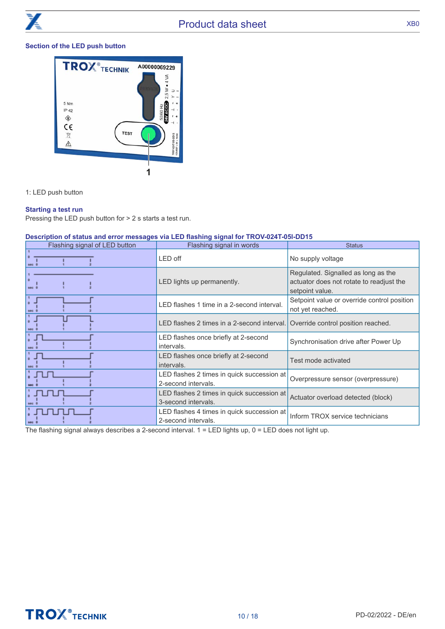#### **Section of the LED push button**



1: LED push button

#### **Starting a test run**

Pressing the LED push button for > 2 s starts a test run.

#### **Description of status and error messages via LED flashing signal for TROV-024T-05l-DD15**

| Flashing signal of LED button | Flashing signal in words                                          | <b>Status</b>                                                                                      |
|-------------------------------|-------------------------------------------------------------------|----------------------------------------------------------------------------------------------------|
| sec (                         | LED off                                                           | No supply voltage                                                                                  |
| sec 0                         | LED lights up permanently.                                        | Regulated. Signalled as long as the<br>actuator does not rotate to readjust the<br>setpoint value. |
|                               | LED flashes 1 time in a 2-second interval.                        | Setpoint value or override control position<br>not yet reached.                                    |
|                               | LED flashes 2 times in a 2-second interval.                       | Override control position reached.                                                                 |
|                               | LED flashes once briefly at 2-second<br>intervals.                | Synchronisation drive after Power Up                                                               |
|                               | LED flashes once briefly at 2-second<br>intervals.                | Test mode activated                                                                                |
|                               | LED flashes 2 times in quick succession at<br>2-second intervals. | Overpressure sensor (overpressure)                                                                 |
|                               | LED flashes 2 times in quick succession at<br>3-second intervals. | Actuator overload detected (block)                                                                 |
|                               | LED flashes 4 times in quick succession at<br>2-second intervals. | Inform TROX service technicians                                                                    |

The flashing signal always describes a 2-second interval.  $1 =$  LED lights up,  $0 =$  LED does not light up.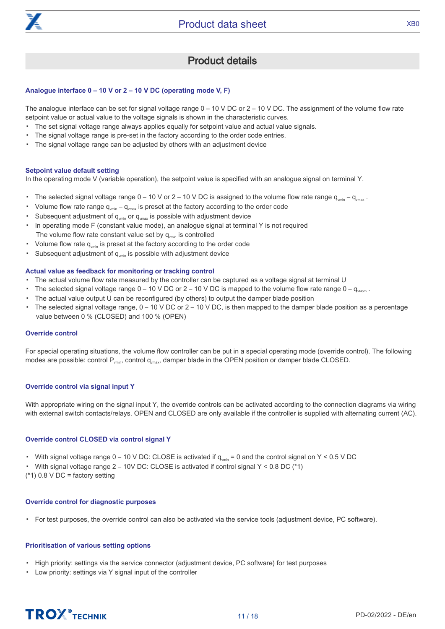

### Product details

#### <span id="page-10-0"></span>**Analogue interface 0 – 10 V or 2 – 10 V DC (operating mode V, F)**

The analogue interface can be set for signal voltage range  $0 - 10$  V DC or  $2 - 10$  V DC. The assignment of the volume flow rate setpoint value or actual value to the voltage signals is shown in the characteristic curves.

- The set signal voltage range always applies equally for setpoint value and actual value signals.
- The signal voltage range is pre-set in the factory according to the order code entries.
- The signal voltage range can be adjusted by others with an adjustment device

#### **Setpoint value default setting**

In the operating mode V (variable operation), the setpoint value is specified with an analogue signal on terminal Y.

- The selected signal voltage range  $0 - 10$  V or  $2 - 10$  V DC is assigned to the volume flow rate range  $q_{vmin} - q_{vmax}$ .
- Volume flow rate range  $q_{\text{win}} - q_{\text{max}}$  is preset at the factory according to the order code
- Subsequent adjustment of  $q_{\text{win}}$  or  $q_{\text{max}}$  is possible with adjustment device
- In operating mode F (constant value mode), an analogue signal at terminal Y is not required The volume flow rate constant value set by  $q_{\text{vmin}}$  is controlled
- Volume flow rate q<sub>vmin</sub> is preset at the factory according to the order code
- Subsequent adjustment of  $q_{\text{win}}$  is possible with adjustment device

#### **Actual value as feedback for monitoring or tracking control**

- The actual volume flow rate measured by the controller can be captured as a voltage signal at terminal U
- The selected signal voltage range  $0 - 10 \vee$  DC or  $2 - 10 \vee$  DC is mapped to the volume flow rate range  $0 - q_{\text{when}}$ .
- The actual value output U can be reconfigured (by others) to output the damper blade position
- The selected signal voltage range, 0 10 V DC or 2 10 V DC, is then mapped to the damper blade position as a percentage value between 0 % (CLOSED) and 100 % (OPEN)

#### **Override control**

For special operating situations, the volume flow controller can be put in a special operating mode (override control). The following modes are possible: control  $P_{v_{\text{min}}}$ , control  $q_{v_{\text{max}}}$ , damper blade in the OPEN position or damper blade CLOSED.

#### **Override control via signal input Y**

With appropriate wiring on the signal input Y, the override controls can be activated according to the connection diagrams via wiring with external switch contacts/relays. OPEN and CLOSED are only available if the controller is supplied with alternating current (AC).

#### **Override control CLOSED via control signal Y**

- With signal voltage range  $0 10$  V DC: CLOSE is activated if  $q_{\text{win}} = 0$  and the control signal on Y < 0.5 V DC
- With signal voltage range  $2 10V$  DC: CLOSE is activated if control signal Y < 0.8 DC  $(^*1)$
- $(*1)$  0.8 V DC = factory setting

#### **Override control for diagnostic purposes**

▪ For test purposes, the override control can also be activated via the service tools (adjustment device, PC software).

#### **Prioritisation of various setting options**

- High priority: settings via the service connector (adjustment device, PC software) for test purposes
- Low priority: settings via Y signal input of the controller

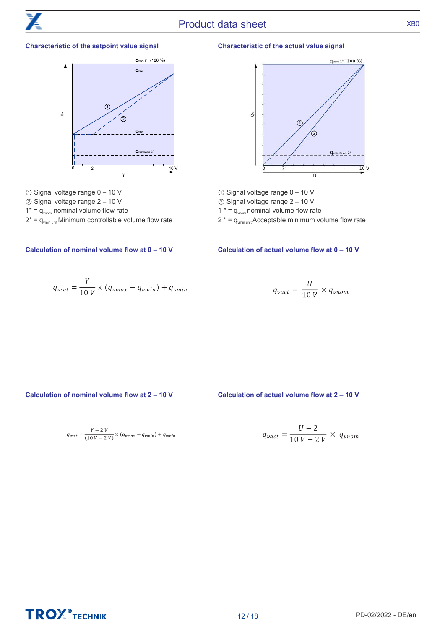#### **Characteristic of the setpoint value signal**



- ① Signal voltage range 0 10 V
- ② Signal voltage range 2 10 V
- $1^* = q_{\text{vnom}}$  nominal volume flow rate
- $2^* = q_{\text{vmin unit}}$  Minimum controllable volume flow rate

#### **Characteristic of the actual value signal**



- ① Signal voltage range 0 10 V
- ② Signal voltage range 2 10 V
- 1  $* = q_{\text{vnom}}$  nominal volume flow rate
- $2^* = q_{\text{win unit}}$  Acceptable minimum volume flow rate

#### **Calculation of nominal volume flow at 0 – 10 V Calculation of actual volume flow at 0 – 10 V**

$$
q_{vset} = \frac{Y}{10 V} \times (q_{vmax} - q_{vmin}) + q_{vmin}
$$

$$
q_{\text{vact}} = \frac{U}{10 V} \times q_{\text{vnom}}
$$

**Calculation of nominal volume flow at 2 – 10 V Calculation of actual volume flow at 2 – 10 V**

$$
q_{vset} = \frac{Y - 2 V}{(10 V - 2 V)} \times (q_{vmax} - q_{vmin}) + q_{vmin}
$$

$$
q_{\text{vact}} = \frac{U - 2}{10 V - 2 V} \times q_{\text{vnom}}
$$

**TROX** TECHNIK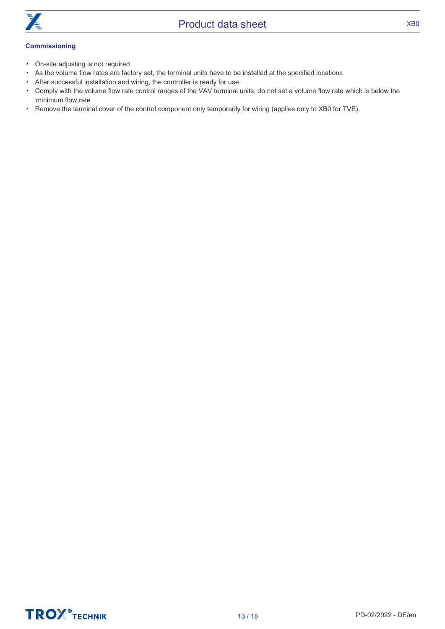

- On-site adjusting is not required
- As the volume flow rates are factory set, the terminal units have to be installed at the specified locations
- After successful installation and wiring, the controller is ready for use
- Comply with the volume flow rate control ranges of the VAV terminal units, do not set a volume flow rate which is below the minimum flow rate
- Remove the terminal cover of the control component only temporarily for wiring (applies only to XB0 for TVE).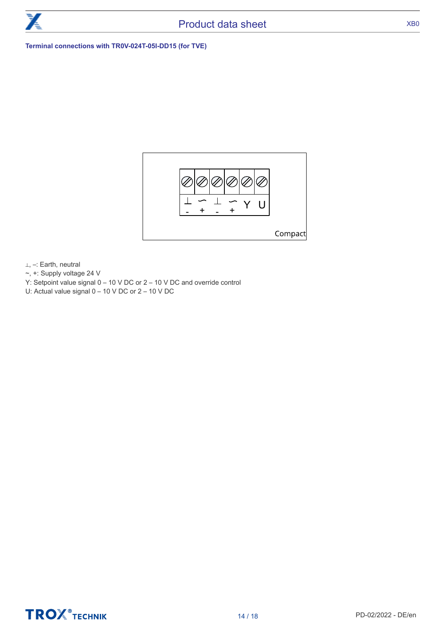

#### **Terminal connections with TR0V-024T-05I-DD15 (for TVE)**



⊥, –: Earth, neutral

- ~, +: Supply voltage 24 V
- Y: Setpoint value signal 0 10 V DC or 2 10 V DC and override control
- U: Actual value signal 0 10 V DC or 2 10 V DC

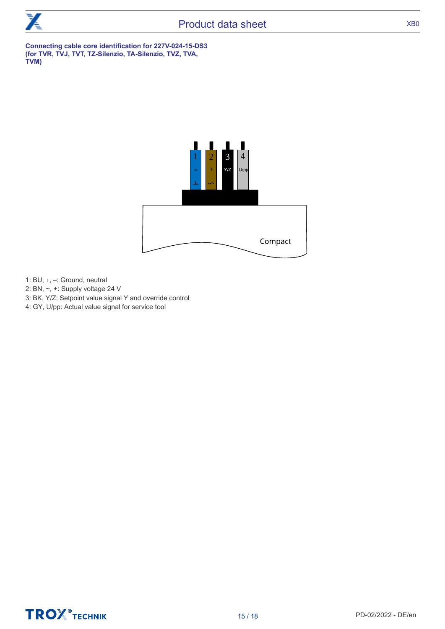

**Connecting cable core identification for 227V-024-15-DS3 (for TVR, TVJ, TVT, TZ-Silenzio, TA-Silenzio, TVZ, TVA, TVM)**



- 1: BU, ⊥, –: Ground, neutral
- 2: BN, ~, +: Supply voltage 24 V
- 3: BK, Y/Z: Setpoint value signal Y and override control
- 4: GY, U/pp: Actual value signal for service tool

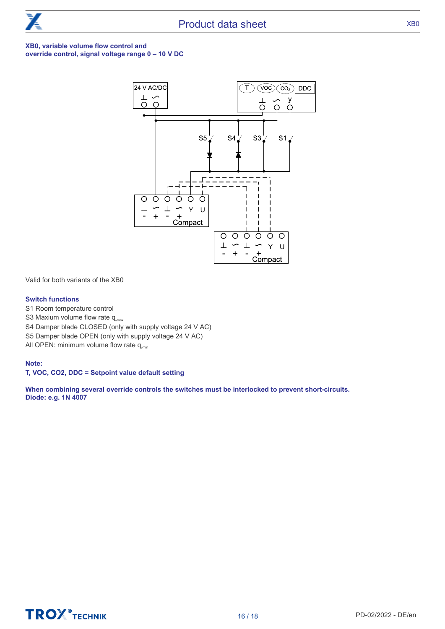

#### **XB0, variable volume flow control and override control, signal voltage range 0 – 10 V DC**



Valid for both variants of the XB0

#### **Switch functions**

S1 Room temperature control

**TROX** TECHNIK

S3 Maxium volume flow rate  $q_{\text{max}}$ 

S4 Damper blade CLOSED (only with supply voltage 24 V AC)

S5 Damper blade OPEN (only with supply voltage 24 V AC)

All OPEN: minimum volume flow rate  $q_{\text{min}}$ 

#### **Note:**

**T, VOC, CO2, DDC = Setpoint value default setting**

**When combining several override controls the switches must be interlocked to prevent short-circuits. Diode: e.g. 1N 4007**

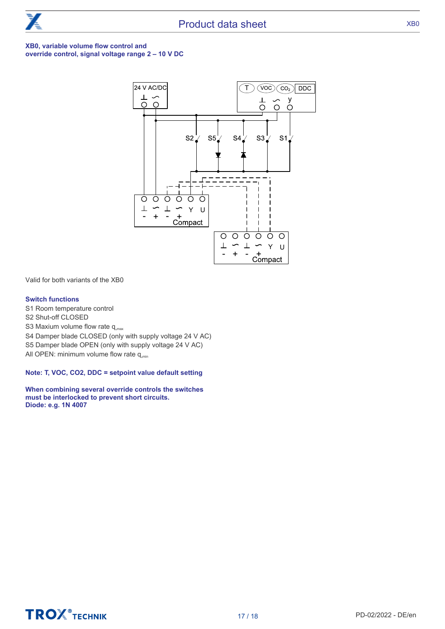

#### **XB0, variable volume flow control and override control, signal voltage range 2 – 10 V DC**



Valid for both variants of the XB0

#### **Switch functions**

S1 Room temperature control

- S2 Shut-off CLOSED
- S3 Maxium volume flow rate  $q_{\text{max}}$
- S4 Damper blade CLOSED (only with supply voltage 24 V AC)
- S5 Damper blade OPEN (only with supply voltage 24 V AC)

All OPEN: minimum volume flow rate  $q_{\text{min}}$ 

**Note: T, VOC, CO2, DDC = setpoint value default setting**

**When combining several override controls the switches must be interlocked to prevent short circuits. Diode: e.g. 1N 4007**